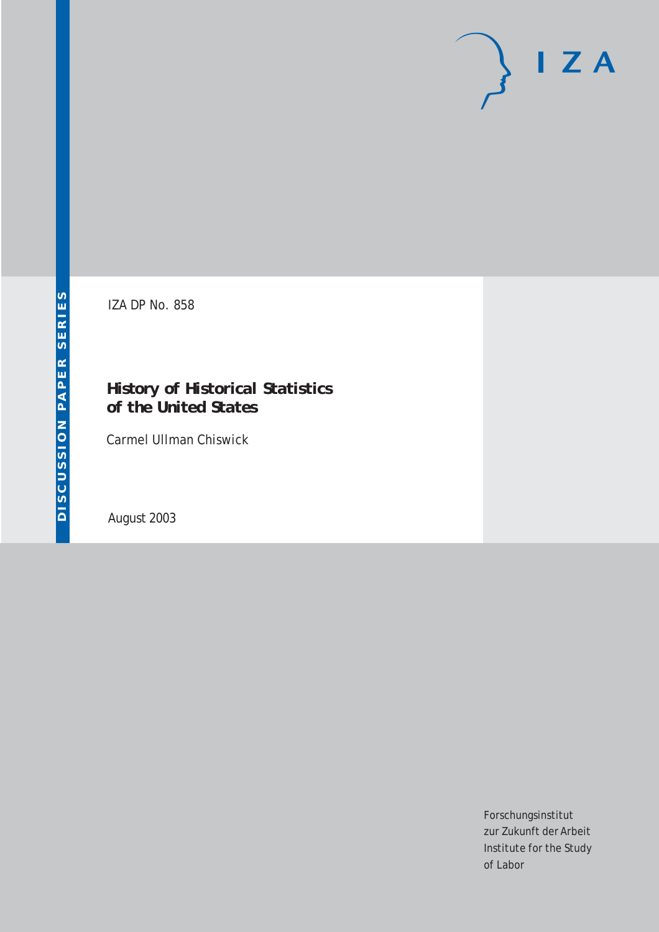# $I Z A$

IZA DP No. 858

### **History of** *Historical Statistics of the United States*

Carmel Ullman Chiswick

August 2003

Forschungsinstitut zur Zukunft der Arbeit Institute for the Study of Labor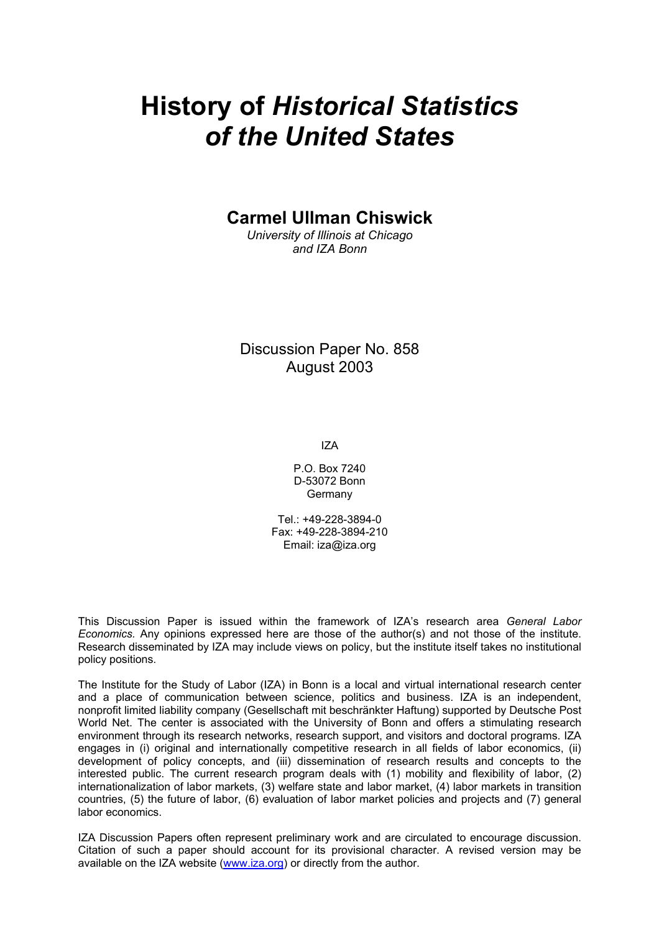# **History of** *Historical Statistics of the United States*

**Carmel Ullman Chiswick** 

*University of Illinois at Chicago and IZA Bonn* 

Discussion Paper No. 858 August 2003

IZA

P.O. Box 7240 D-53072 Bonn Germany

Tel.: +49-228-3894-0 Fax: +49-228-3894-210 Email: [iza@iza.org](mailto:iza@iza.org)

This Discussion Paper is issued within the framework of IZA's research area *General Labor Economics.* Any opinions expressed here are those of the author(s) and not those of the institute. Research disseminated by IZA may include views on policy, but the institute itself takes no institutional policy positions.

The Institute for the Study of Labor (IZA) in Bonn is a local and virtual international research center and a place of communication between science, politics and business. IZA is an independent, nonprofit limited liability company (Gesellschaft mit beschränkter Haftung) supported by Deutsche Post World Net. The center is associated with the University of Bonn and offers a stimulating research environment through its research networks, research support, and visitors and doctoral programs. IZA engages in (i) original and internationally competitive research in all fields of labor economics, (ii) development of policy concepts, and (iii) dissemination of research results and concepts to the interested public. The current research program deals with (1) mobility and flexibility of labor, (2) internationalization of labor markets, (3) welfare state and labor market, (4) labor markets in transition countries, (5) the future of labor, (6) evaluation of labor market policies and projects and (7) general labor economics.

IZA Discussion Papers often represent preliminary work and are circulated to encourage discussion. Citation of such a paper should account for its provisional character. A revised version may be available on the IZA website ([www.iza.org](http://www.iza.org/)) or directly from the author.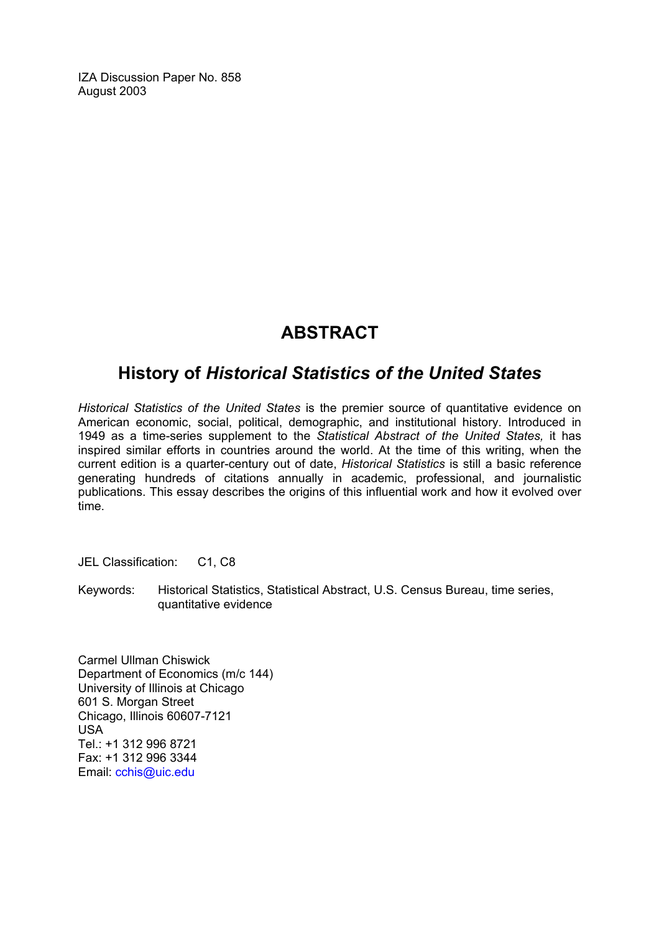IZA Discussion Paper No. 858 August 2003

## **ABSTRACT**

## **History of** *Historical Statistics of the United States*

*Historical Statistics of the United States* is the premier source of quantitative evidence on American economic, social, political, demographic, and institutional history. Introduced in 1949 as a time-series supplement to the *Statistical Abstract of the United States,* it has inspired similar efforts in countries around the world. At the time of this writing, when the current edition is a quarter-century out of date, *Historical Statistics* is still a basic reference generating hundreds of citations annually in academic, professional, and journalistic publications. This essay describes the origins of this influential work and how it evolved over time.

JEL Classification: C1, C8

Keywords: Historical Statistics, Statistical Abstract, U.S. Census Bureau, time series, quantitative evidence

Carmel Ullman Chiswick Department of Economics (m/c 144) University of Illinois at Chicago 601 S. Morgan Street Chicago, Illinois 60607-7121 USA Tel.: +1 312 996 8721 Fax: +1 312 996 3344 Email: [cchis@uic.edu](mailto:cchis@uic.edu)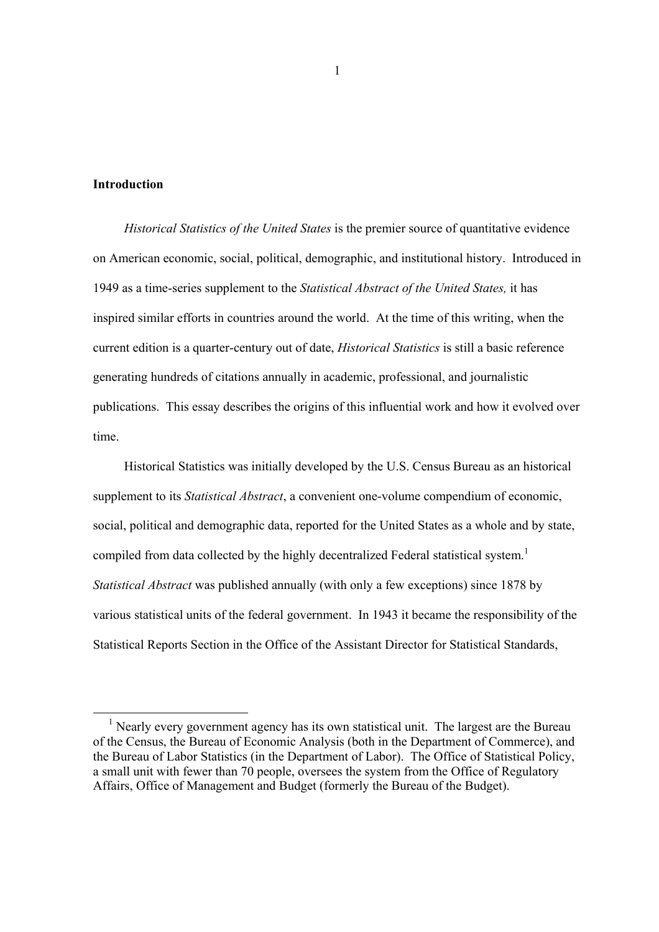#### **Introduction**

*Historical Statistics of the United States* is the premier source of quantitative evidence on American economic, social, political, demographic, and institutional history. Introduced in 1949 as a time-series supplement to the *Statistical Abstract of the United States,* it has inspired similar efforts in countries around the world. At the time of this writing, when the current edition is a quarter-century out of date, *Historical Statistics* is still a basic reference generating hundreds of citations annually in academic, professional, and journalistic publications. This essay describes the origins of this influential work and how it evolved over time.

Historical Statistics was initially developed by the U.S. Census Bureau as an historical supplement to its *Statistical Abstract*, a convenient one-volume compendium of economic, social, political and demographic data, reported for the United States as a whole and by state, compiled from data collected by the highly decentralized Federal statistical system.<sup>1</sup> *Statistical Abstract* was published annually (with only a few exceptions) since 1878 by various statistical units of the federal government. In 1943 it became the responsibility of the Statistical Reports Section in the Office of the Assistant Director for Statistical Standards,

<sup>&</sup>lt;sup>1</sup> Nearly every government agency has its own statistical unit. The largest are the Bureau of the Census, the Bureau of Economic Analysis (both in the Department of Commerce), and the Bureau of Labor Statistics (in the Department of Labor). The Office of Statistical Policy, a small unit with fewer than 70 people, oversees the system from the Office of Regulatory Affairs, Office of Management and Budget (formerly the Bureau of the Budget).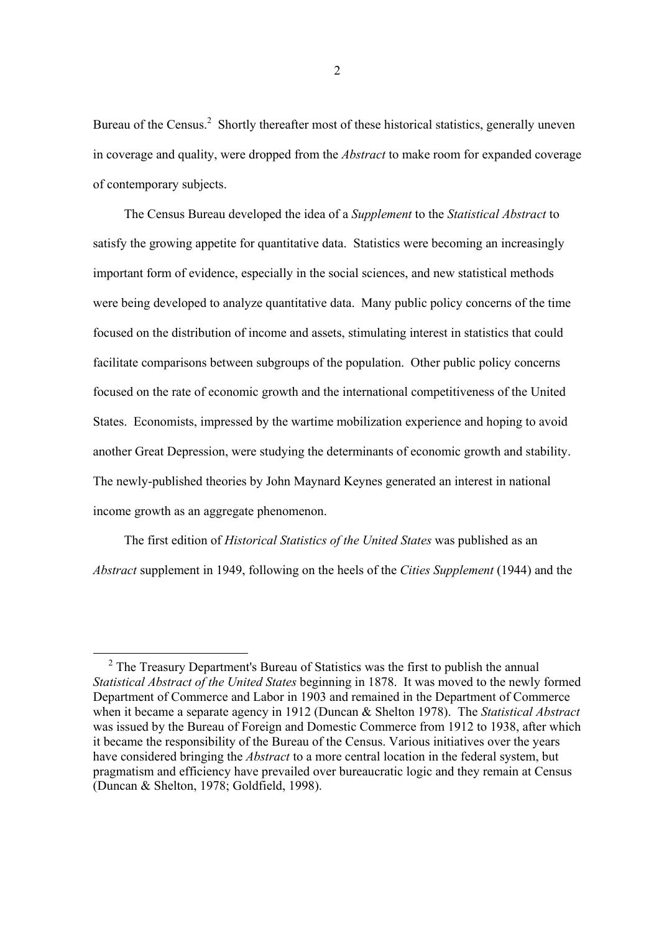Bureau of the Census.<sup>2</sup> Shortly thereafter most of these historical statistics, generally uneven in coverage and quality, were dropped from the *Abstract* to make room for expanded coverage of contemporary subjects.

The Census Bureau developed the idea of a *Supplement* to the *Statistical Abstract* to satisfy the growing appetite for quantitative data. Statistics were becoming an increasingly important form of evidence, especially in the social sciences, and new statistical methods were being developed to analyze quantitative data. Many public policy concerns of the time focused on the distribution of income and assets, stimulating interest in statistics that could facilitate comparisons between subgroups of the population. Other public policy concerns focused on the rate of economic growth and the international competitiveness of the United States. Economists, impressed by the wartime mobilization experience and hoping to avoid another Great Depression, were studying the determinants of economic growth and stability. The newly-published theories by John Maynard Keynes generated an interest in national income growth as an aggregate phenomenon.

The first edition of *Historical Statistics of the United States* was published as an *Abstract* supplement in 1949, following on the heels of the *Cities Supplement* (1944) and the

<sup>&</sup>lt;sup>2</sup> The Treasury Department's Bureau of Statistics was the first to publish the annual *Statistical Abstract of the United States* beginning in 1878. It was moved to the newly formed Department of Commerce and Labor in 1903 and remained in the Department of Commerce when it became a separate agency in 1912 (Duncan & Shelton 1978). The *Statistical Abstract* was issued by the Bureau of Foreign and Domestic Commerce from 1912 to 1938, after which it became the responsibility of the Bureau of the Census. Various initiatives over the years have considered bringing the *Abstract* to a more central location in the federal system, but pragmatism and efficiency have prevailed over bureaucratic logic and they remain at Census (Duncan & Shelton, 1978; Goldfield, 1998).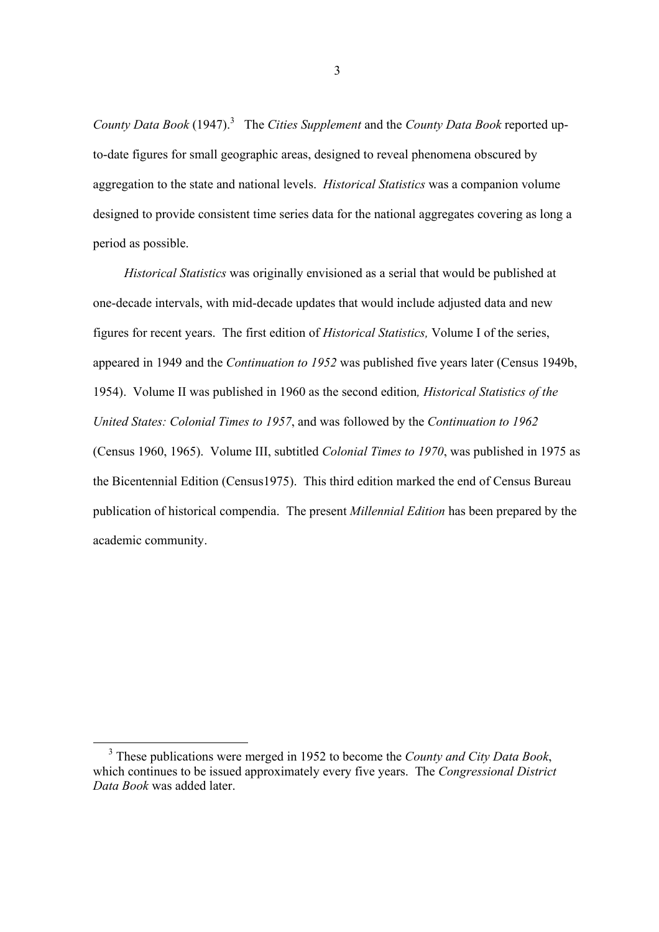County Data Book (1947).<sup>3</sup> The *Cities Supplement* and the *County Data Book* reported upto-date figures for small geographic areas, designed to reveal phenomena obscured by aggregation to the state and national levels. *Historical Statistics* was a companion volume designed to provide consistent time series data for the national aggregates covering as long a period as possible.

*Historical Statistics* was originally envisioned as a serial that would be published at one-decade intervals, with mid-decade updates that would include adjusted data and new figures for recent years. The first edition of *Historical Statistics,* Volume I of the series, appeared in 1949 and the *Continuation to 1952* was published five years later (Census 1949b, 1954). Volume II was published in 1960 as the second edition*, Historical Statistics of the United States: Colonial Times to 1957*, and was followed by the *Continuation to 1962* (Census 1960, 1965). Volume III, subtitled *Colonial Times to 1970*, was published in 1975 as the Bicentennial Edition (Census1975). This third edition marked the end of Census Bureau publication of historical compendia. The present *Millennial Edition* has been prepared by the academic community.

 <sup>3</sup> These publications were merged in 1952 to become the *County and City Data Book*, which continues to be issued approximately every five years. The *Congressional District Data Book* was added later.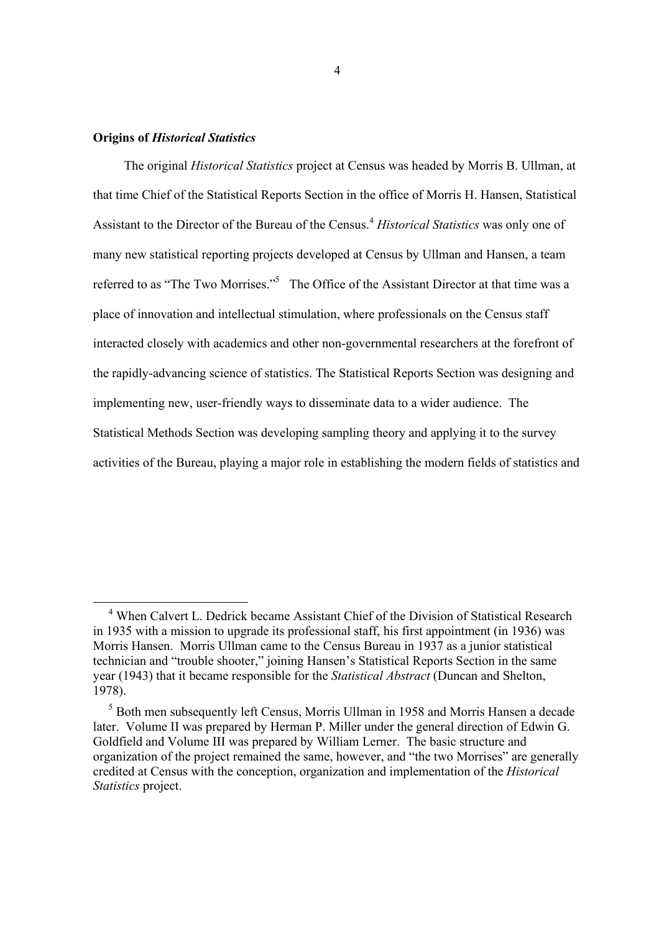#### **Origins of** *Historical Statistics*

The original *Historical Statistics* project at Census was headed by Morris B. Ullman, at that time Chief of the Statistical Reports Section in the office of Morris H. Hansen, Statistical Assistant to the Director of the Bureau of the Census.<sup>4</sup> *Historical Statistics* was only one of many new statistical reporting projects developed at Census by Ullman and Hansen, a team referred to as "The Two Morrises."<sup>5</sup> The Office of the Assistant Director at that time was a place of innovation and intellectual stimulation, where professionals on the Census staff interacted closely with academics and other non-governmental researchers at the forefront of the rapidly-advancing science of statistics. The Statistical Reports Section was designing and implementing new, user-friendly ways to disseminate data to a wider audience. The Statistical Methods Section was developing sampling theory and applying it to the survey activities of the Bureau, playing a major role in establishing the modern fields of statistics and

 <sup>4</sup> When Calvert L. Dedrick became Assistant Chief of the Division of Statistical Research in 1935 with a mission to upgrade its professional staff, his first appointment (in 1936) was Morris Hansen. Morris Ullman came to the Census Bureau in 1937 as a junior statistical technician and "trouble shooter," joining Hansen's Statistical Reports Section in the same year (1943) that it became responsible for the *Statistical Abstract* (Duncan and Shelton, 1978).

<sup>&</sup>lt;sup>5</sup> Both men subsequently left Census, Morris Ullman in 1958 and Morris Hansen a decade later. Volume II was prepared by Herman P. Miller under the general direction of Edwin G. Goldfield and Volume III was prepared by William Lerner. The basic structure and organization of the project remained the same, however, and "the two Morrises" are generally credited at Census with the conception, organization and implementation of the *Historical Statistics* project.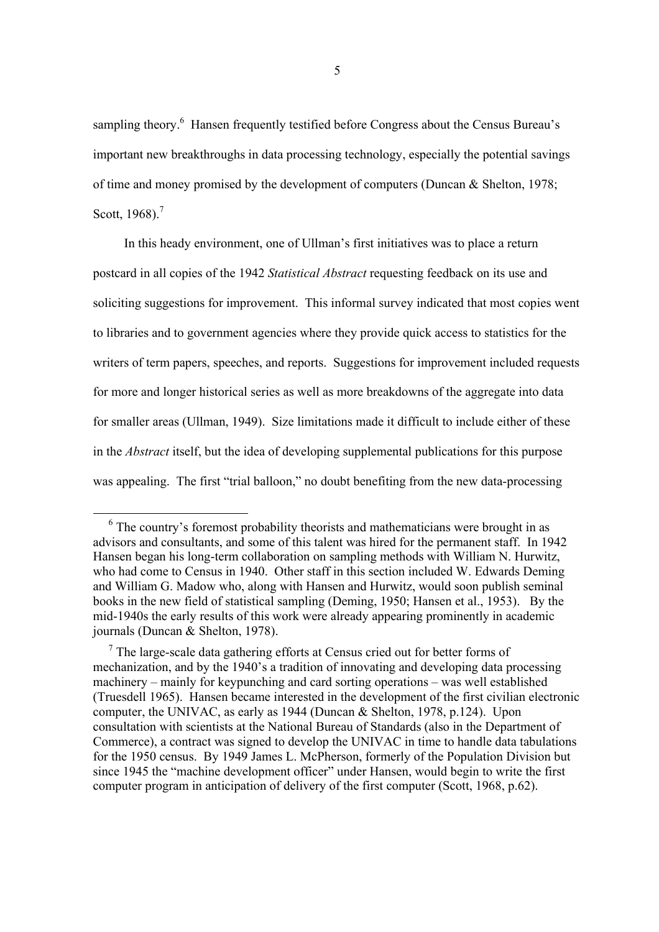sampling theory.<sup>6</sup> Hansen frequently testified before Congress about the Census Bureau's important new breakthroughs in data processing technology, especially the potential savings of time and money promised by the development of computers (Duncan & Shelton, 1978; Scott, 1968).<sup>7</sup>

In this heady environment, one of Ullman's first initiatives was to place a return postcard in all copies of the 1942 *Statistical Abstract* requesting feedback on its use and soliciting suggestions for improvement. This informal survey indicated that most copies went to libraries and to government agencies where they provide quick access to statistics for the writers of term papers, speeches, and reports. Suggestions for improvement included requests for more and longer historical series as well as more breakdowns of the aggregate into data for smaller areas (Ullman, 1949). Size limitations made it difficult to include either of these in the *Abstract* itself, but the idea of developing supplemental publications for this purpose was appealing. The first "trial balloon," no doubt benefiting from the new data-processing

<sup>&</sup>lt;sup>6</sup> The country's foremost probability theorists and mathematicians were brought in as advisors and consultants, and some of this talent was hired for the permanent staff. In 1942 Hansen began his long-term collaboration on sampling methods with William N. Hurwitz, who had come to Census in 1940. Other staff in this section included W. Edwards Deming and William G. Madow who, along with Hansen and Hurwitz, would soon publish seminal books in the new field of statistical sampling (Deming, 1950; Hansen et al., 1953). By the mid-1940s the early results of this work were already appearing prominently in academic journals (Duncan & Shelton, 1978).

 $7$  The large-scale data gathering efforts at Census cried out for better forms of mechanization, and by the 1940's a tradition of innovating and developing data processing machinery – mainly for keypunching and card sorting operations – was well established (Truesdell 1965). Hansen became interested in the development of the first civilian electronic computer, the UNIVAC, as early as 1944 (Duncan & Shelton, 1978, p.124). Upon consultation with scientists at the National Bureau of Standards (also in the Department of Commerce), a contract was signed to develop the UNIVAC in time to handle data tabulations for the 1950 census. By 1949 James L. McPherson, formerly of the Population Division but since 1945 the "machine development officer" under Hansen, would begin to write the first computer program in anticipation of delivery of the first computer (Scott, 1968, p.62).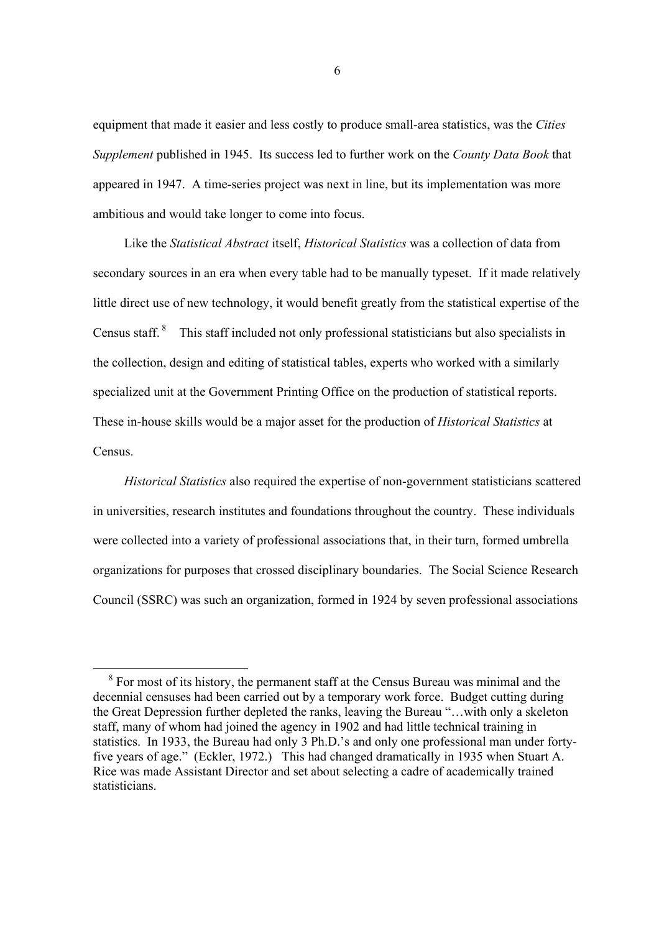equipment that made it easier and less costly to produce small-area statistics, was the *Cities Supplement* published in 1945. Its success led to further work on the *County Data Book* that appeared in 1947. A time-series project was next in line, but its implementation was more ambitious and would take longer to come into focus.

Like the *Statistical Abstract* itself, *Historical Statistics* was a collection of data from secondary sources in an era when every table had to be manually typeset. If it made relatively little direct use of new technology, it would benefit greatly from the statistical expertise of the Census staff. 8 This staff included not only professional statisticians but also specialists in the collection, design and editing of statistical tables, experts who worked with a similarly specialized unit at the Government Printing Office on the production of statistical reports. These in-house skills would be a major asset for the production of *Historical Statistics* at **Census**.

*Historical Statistics* also required the expertise of non-government statisticians scattered in universities, research institutes and foundations throughout the country. These individuals were collected into a variety of professional associations that, in their turn, formed umbrella organizations for purposes that crossed disciplinary boundaries. The Social Science Research Council (SSRC) was such an organization, formed in 1924 by seven professional associations

<sup>&</sup>lt;sup>8</sup> For most of its history, the permanent staff at the Census Bureau was minimal and the decennial censuses had been carried out by a temporary work force. Budget cutting during the Great Depression further depleted the ranks, leaving the Bureau "…with only a skeleton staff, many of whom had joined the agency in 1902 and had little technical training in statistics. In 1933, the Bureau had only 3 Ph.D.'s and only one professional man under fortyfive years of age." (Eckler, 1972.) This had changed dramatically in 1935 when Stuart A. Rice was made Assistant Director and set about selecting a cadre of academically trained statisticians.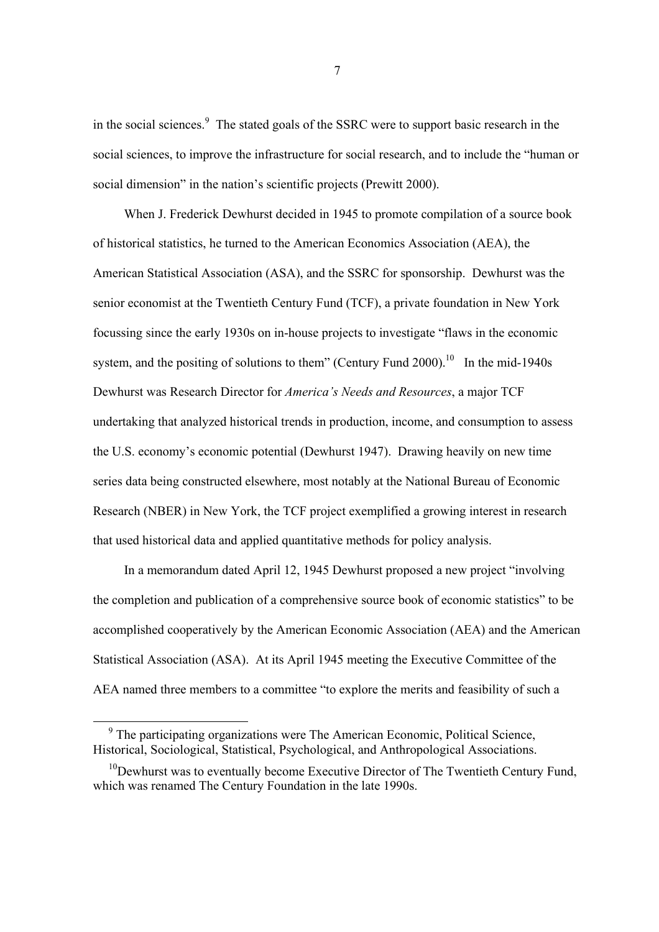in the social sciences.<sup>9</sup> The stated goals of the SSRC were to support basic research in the social sciences, to improve the infrastructure for social research, and to include the "human or social dimension" in the nation's scientific projects (Prewitt 2000).

When J. Frederick Dewhurst decided in 1945 to promote compilation of a source book of historical statistics, he turned to the American Economics Association (AEA), the American Statistical Association (ASA), and the SSRC for sponsorship. Dewhurst was the senior economist at the Twentieth Century Fund (TCF), a private foundation in New York focussing since the early 1930s on in-house projects to investigate "flaws in the economic system, and the positing of solutions to them" (Century Fund 2000).<sup>10</sup> In the mid-1940s Dewhurst was Research Director for *America's Needs and Resources*, a major TCF undertaking that analyzed historical trends in production, income, and consumption to assess the U.S. economy's economic potential (Dewhurst 1947). Drawing heavily on new time series data being constructed elsewhere, most notably at the National Bureau of Economic Research (NBER) in New York, the TCF project exemplified a growing interest in research that used historical data and applied quantitative methods for policy analysis.

In a memorandum dated April 12, 1945 Dewhurst proposed a new project "involving the completion and publication of a comprehensive source book of economic statistics" to be accomplished cooperatively by the American Economic Association (AEA) and the American Statistical Association (ASA). At its April 1945 meeting the Executive Committee of the AEA named three members to a committee "to explore the merits and feasibility of such a

<sup>&</sup>lt;sup>9</sup> The participating organizations were The American Economic, Political Science, Historical, Sociological, Statistical, Psychological, and Anthropological Associations.

 $10$ Dewhurst was to eventually become Executive Director of The Twentieth Century Fund, which was renamed The Century Foundation in the late 1990s.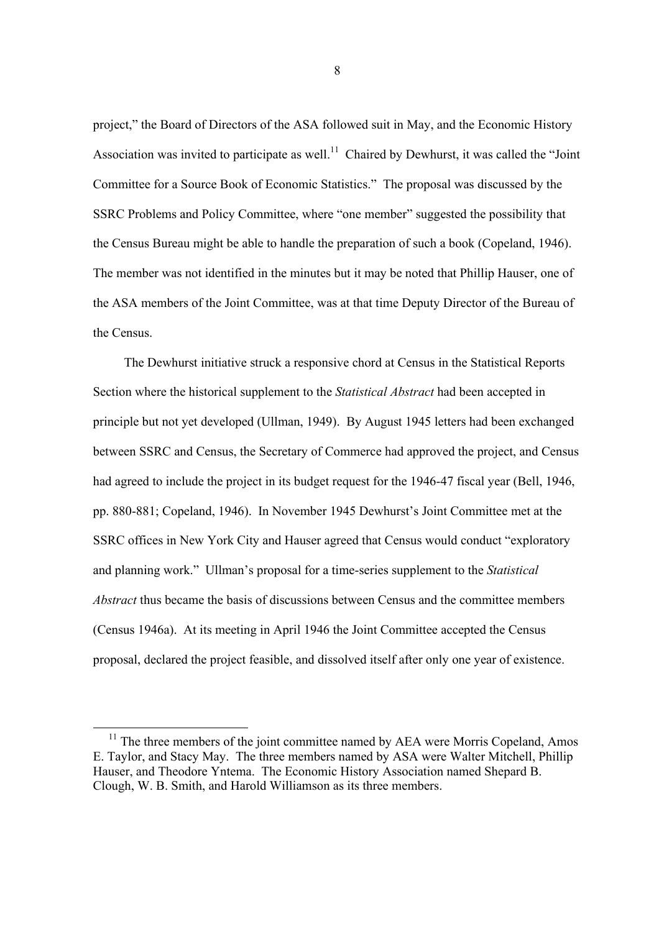project," the Board of Directors of the ASA followed suit in May, and the Economic History Association was invited to participate as well.<sup>11</sup> Chaired by Dewhurst, it was called the "Joint" Committee for a Source Book of Economic Statistics." The proposal was discussed by the SSRC Problems and Policy Committee, where "one member" suggested the possibility that the Census Bureau might be able to handle the preparation of such a book (Copeland, 1946). The member was not identified in the minutes but it may be noted that Phillip Hauser, one of the ASA members of the Joint Committee, was at that time Deputy Director of the Bureau of the Census.

The Dewhurst initiative struck a responsive chord at Census in the Statistical Reports Section where the historical supplement to the *Statistical Abstract* had been accepted in principle but not yet developed (Ullman, 1949). By August 1945 letters had been exchanged between SSRC and Census, the Secretary of Commerce had approved the project, and Census had agreed to include the project in its budget request for the 1946-47 fiscal year (Bell, 1946, pp. 880-881; Copeland, 1946). In November 1945 Dewhurst's Joint Committee met at the SSRC offices in New York City and Hauser agreed that Census would conduct "exploratory and planning work." Ullman's proposal for a time-series supplement to the *Statistical Abstract* thus became the basis of discussions between Census and the committee members (Census 1946a). At its meeting in April 1946 the Joint Committee accepted the Census proposal, declared the project feasible, and dissolved itself after only one year of existence.

 $11$  The three members of the joint committee named by AEA were Morris Copeland, Amos E. Taylor, and Stacy May. The three members named by ASA were Walter Mitchell, Phillip Hauser, and Theodore Yntema. The Economic History Association named Shepard B. Clough, W. B. Smith, and Harold Williamson as its three members.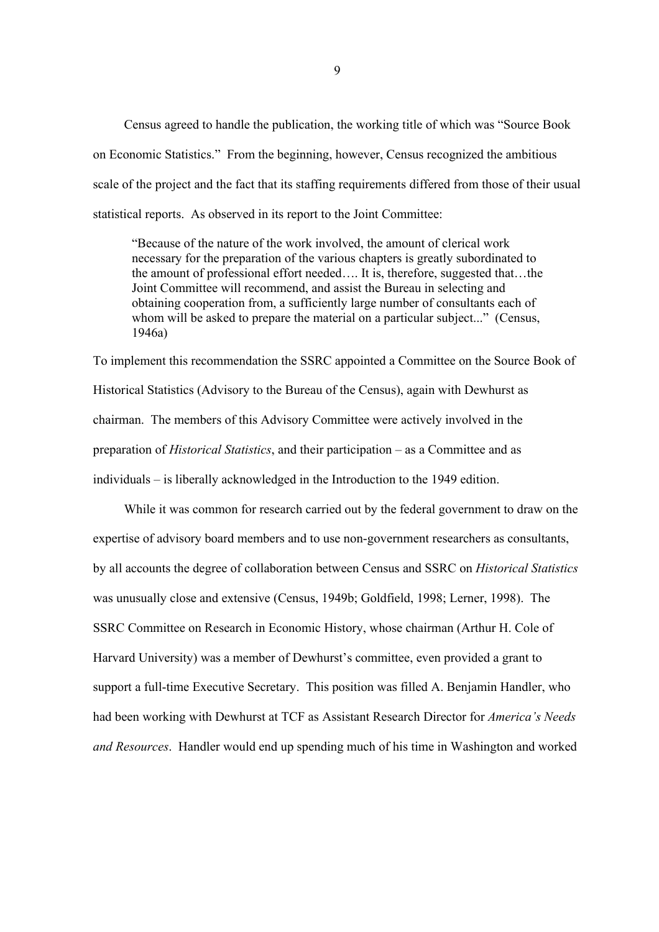Census agreed to handle the publication, the working title of which was "Source Book on Economic Statistics." From the beginning, however, Census recognized the ambitious scale of the project and the fact that its staffing requirements differed from those of their usual statistical reports. As observed in its report to the Joint Committee:

"Because of the nature of the work involved, the amount of clerical work necessary for the preparation of the various chapters is greatly subordinated to the amount of professional effort needed…. It is, therefore, suggested that…the Joint Committee will recommend, and assist the Bureau in selecting and obtaining cooperation from, a sufficiently large number of consultants each of whom will be asked to prepare the material on a particular subject..." (Census, 1946a)

To implement this recommendation the SSRC appointed a Committee on the Source Book of Historical Statistics (Advisory to the Bureau of the Census), again with Dewhurst as chairman. The members of this Advisory Committee were actively involved in the preparation of *Historical Statistics*, and their participation – as a Committee and as individuals – is liberally acknowledged in the Introduction to the 1949 edition.

While it was common for research carried out by the federal government to draw on the expertise of advisory board members and to use non-government researchers as consultants, by all accounts the degree of collaboration between Census and SSRC on *Historical Statistics* was unusually close and extensive (Census, 1949b; Goldfield, 1998; Lerner, 1998). The SSRC Committee on Research in Economic History, whose chairman (Arthur H. Cole of Harvard University) was a member of Dewhurst's committee, even provided a grant to support a full-time Executive Secretary. This position was filled A. Benjamin Handler, who had been working with Dewhurst at TCF as Assistant Research Director for *America's Needs and Resources*. Handler would end up spending much of his time in Washington and worked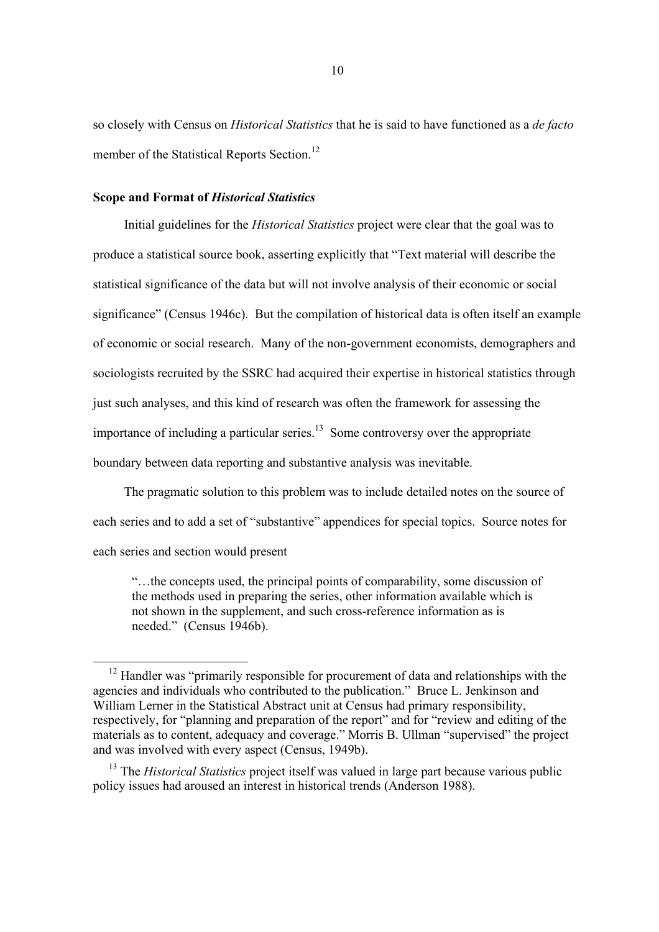so closely with Census on *Historical Statistics* that he is said to have functioned as a *de facto* member of the Statistical Reports Section.<sup>12</sup>

#### **Scope and Format of** *Historical Statistics*

Initial guidelines for the *Historical Statistics* project were clear that the goal was to produce a statistical source book, asserting explicitly that "Text material will describe the statistical significance of the data but will not involve analysis of their economic or social significance" (Census 1946c). But the compilation of historical data is often itself an example of economic or social research. Many of the non-government economists, demographers and sociologists recruited by the SSRC had acquired their expertise in historical statistics through just such analyses, and this kind of research was often the framework for assessing the importance of including a particular series. $13$  Some controversy over the appropriate boundary between data reporting and substantive analysis was inevitable.

The pragmatic solution to this problem was to include detailed notes on the source of each series and to add a set of "substantive" appendices for special topics. Source notes for each series and section would present

"…the concepts used, the principal points of comparability, some discussion of the methods used in preparing the series, other information available which is not shown in the supplement, and such cross-reference information as is needed." (Census 1946b).

 $12$  Handler was "primarily responsible for procurement of data and relationships with the agencies and individuals who contributed to the publication." Bruce L. Jenkinson and William Lerner in the Statistical Abstract unit at Census had primary responsibility, respectively, for "planning and preparation of the report" and for "review and editing of the materials as to content, adequacy and coverage." Morris B. Ullman "supervised" the project and was involved with every aspect (Census, 1949b).

<sup>13</sup> The *Historical Statistics* project itself was valued in large part because various public policy issues had aroused an interest in historical trends (Anderson 1988).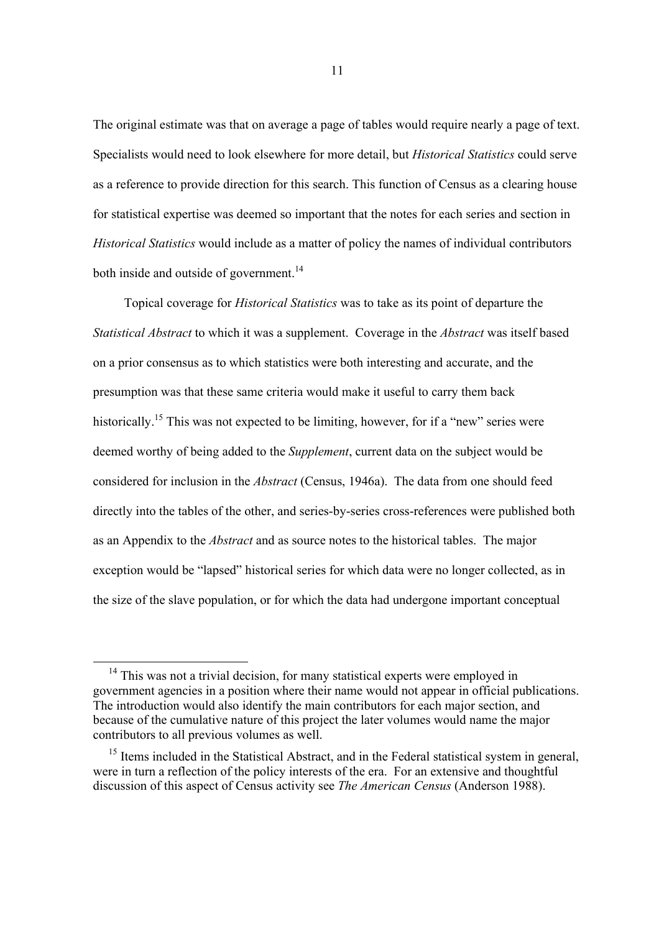The original estimate was that on average a page of tables would require nearly a page of text. Specialists would need to look elsewhere for more detail, but *Historical Statistics* could serve as a reference to provide direction for this search. This function of Census as a clearing house for statistical expertise was deemed so important that the notes for each series and section in *Historical Statistics* would include as a matter of policy the names of individual contributors both inside and outside of government.<sup>14</sup>

Topical coverage for *Historical Statistics* was to take as its point of departure the *Statistical Abstract* to which it was a supplement. Coverage in the *Abstract* was itself based on a prior consensus as to which statistics were both interesting and accurate, and the presumption was that these same criteria would make it useful to carry them back historically.<sup>15</sup> This was not expected to be limiting, however, for if a "new" series were deemed worthy of being added to the *Supplement*, current data on the subject would be considered for inclusion in the *Abstract* (Census, 1946a). The data from one should feed directly into the tables of the other, and series-by-series cross-references were published both as an Appendix to the *Abstract* and as source notes to the historical tables. The major exception would be "lapsed" historical series for which data were no longer collected, as in the size of the slave population, or for which the data had undergone important conceptual

 $14$  This was not a trivial decision, for many statistical experts were employed in government agencies in a position where their name would not appear in official publications. The introduction would also identify the main contributors for each major section, and because of the cumulative nature of this project the later volumes would name the major contributors to all previous volumes as well.

<sup>&</sup>lt;sup>15</sup> Items included in the Statistical Abstract, and in the Federal statistical system in general, were in turn a reflection of the policy interests of the era. For an extensive and thoughtful discussion of this aspect of Census activity see *The American Census* (Anderson 1988).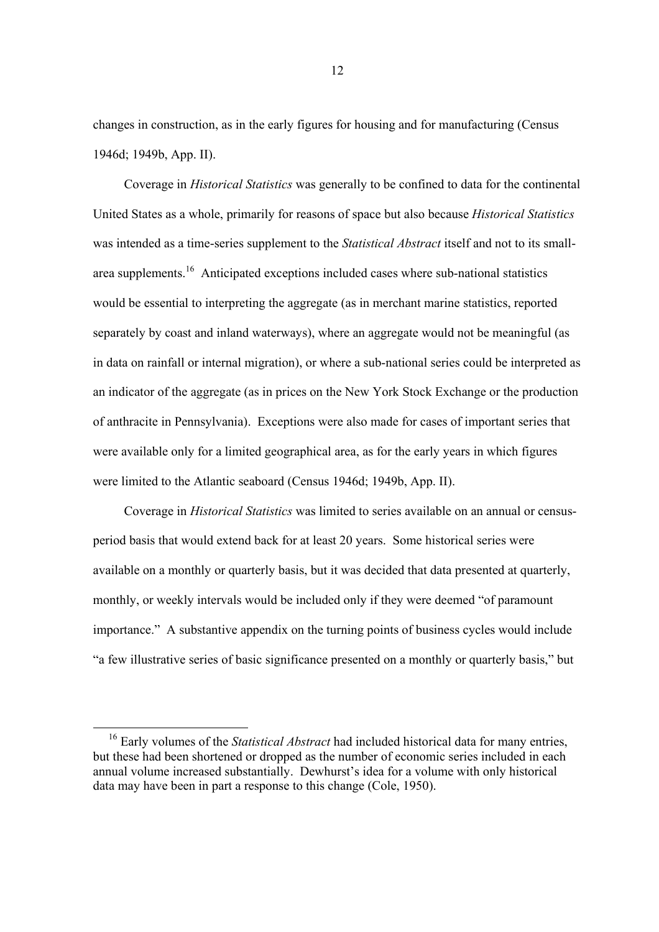changes in construction, as in the early figures for housing and for manufacturing (Census 1946d; 1949b, App. II).

Coverage in *Historical Statistics* was generally to be confined to data for the continental United States as a whole, primarily for reasons of space but also because *Historical Statistics* was intended as a time-series supplement to the *Statistical Abstract* itself and not to its smallarea supplements.16 Anticipated exceptions included cases where sub-national statistics would be essential to interpreting the aggregate (as in merchant marine statistics, reported separately by coast and inland waterways), where an aggregate would not be meaningful (as in data on rainfall or internal migration), or where a sub-national series could be interpreted as an indicator of the aggregate (as in prices on the New York Stock Exchange or the production of anthracite in Pennsylvania). Exceptions were also made for cases of important series that were available only for a limited geographical area, as for the early years in which figures were limited to the Atlantic seaboard (Census 1946d; 1949b, App. II).

Coverage in *Historical Statistics* was limited to series available on an annual or censusperiod basis that would extend back for at least 20 years. Some historical series were available on a monthly or quarterly basis, but it was decided that data presented at quarterly, monthly, or weekly intervals would be included only if they were deemed "of paramount importance." A substantive appendix on the turning points of business cycles would include "a few illustrative series of basic significance presented on a monthly or quarterly basis," but

 <sup>16</sup> Early volumes of the *Statistical Abstract* had included historical data for many entries, but these had been shortened or dropped as the number of economic series included in each annual volume increased substantially. Dewhurst's idea for a volume with only historical data may have been in part a response to this change (Cole, 1950).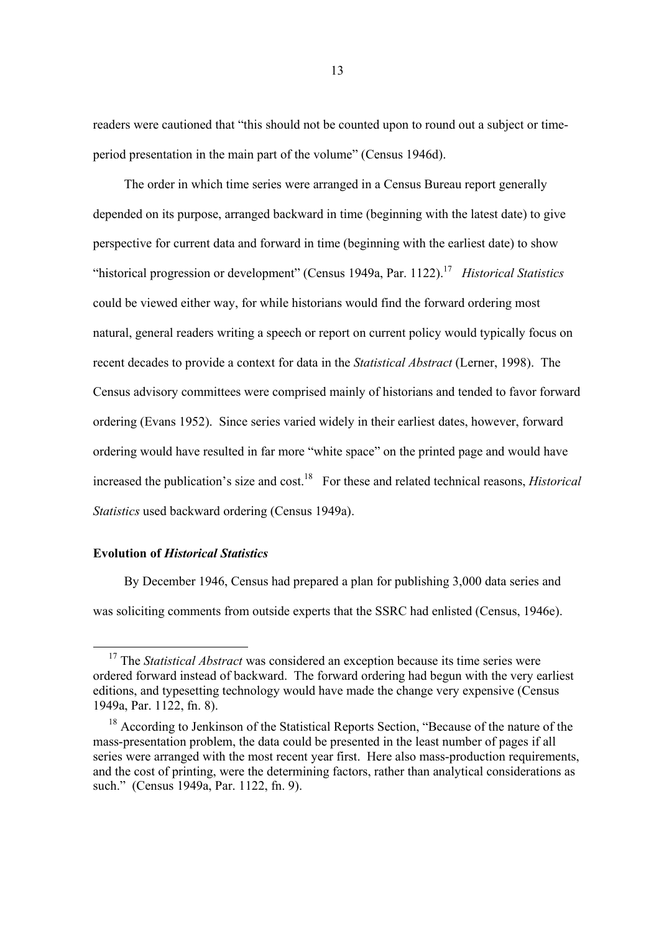readers were cautioned that "this should not be counted upon to round out a subject or timeperiod presentation in the main part of the volume" (Census 1946d).

The order in which time series were arranged in a Census Bureau report generally depended on its purpose, arranged backward in time (beginning with the latest date) to give perspective for current data and forward in time (beginning with the earliest date) to show "historical progression or development" (Census 1949a, Par. 1122).17 *Historical Statistics* could be viewed either way, for while historians would find the forward ordering most natural, general readers writing a speech or report on current policy would typically focus on recent decades to provide a context for data in the *Statistical Abstract* (Lerner, 1998). The Census advisory committees were comprised mainly of historians and tended to favor forward ordering (Evans 1952). Since series varied widely in their earliest dates, however, forward ordering would have resulted in far more "white space" on the printed page and would have increased the publication's size and cost.<sup>18</sup> For these and related technical reasons, *Historical Statistics* used backward ordering (Census 1949a).

#### **Evolution of** *Historical Statistics*

By December 1946, Census had prepared a plan for publishing 3,000 data series and was soliciting comments from outside experts that the SSRC had enlisted (Census, 1946e).

<sup>&</sup>lt;sup>17</sup> The *Statistical Abstract* was considered an exception because its time series were ordered forward instead of backward. The forward ordering had begun with the very earliest editions, and typesetting technology would have made the change very expensive (Census 1949a, Par. 1122, fn. 8).

<sup>&</sup>lt;sup>18</sup> According to Jenkinson of the Statistical Reports Section, "Because of the nature of the mass-presentation problem, the data could be presented in the least number of pages if all series were arranged with the most recent year first. Here also mass-production requirements, and the cost of printing, were the determining factors, rather than analytical considerations as such." (Census 1949a, Par. 1122, fn. 9).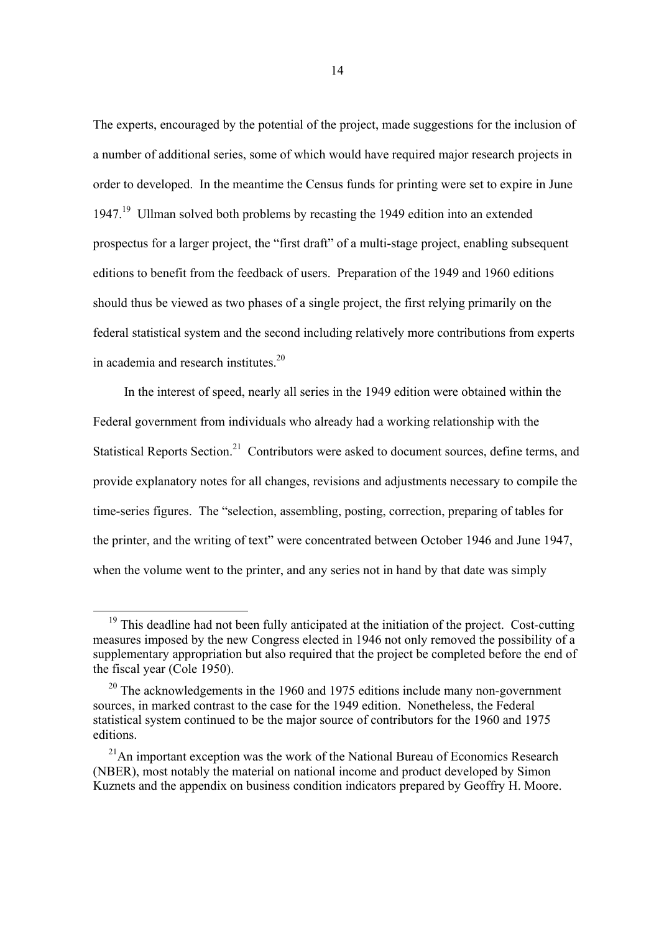The experts, encouraged by the potential of the project, made suggestions for the inclusion of a number of additional series, some of which would have required major research projects in order to developed. In the meantime the Census funds for printing were set to expire in June 1947.19 Ullman solved both problems by recasting the 1949 edition into an extended prospectus for a larger project, the "first draft" of a multi-stage project, enabling subsequent editions to benefit from the feedback of users. Preparation of the 1949 and 1960 editions should thus be viewed as two phases of a single project, the first relying primarily on the federal statistical system and the second including relatively more contributions from experts in academia and research institutes.20

In the interest of speed, nearly all series in the 1949 edition were obtained within the Federal government from individuals who already had a working relationship with the Statistical Reports Section.<sup>21</sup> Contributors were asked to document sources, define terms, and provide explanatory notes for all changes, revisions and adjustments necessary to compile the time-series figures. The "selection, assembling, posting, correction, preparing of tables for the printer, and the writing of text" were concentrated between October 1946 and June 1947, when the volume went to the printer, and any series not in hand by that date was simply

 $19$  This deadline had not been fully anticipated at the initiation of the project. Cost-cutting measures imposed by the new Congress elected in 1946 not only removed the possibility of a supplementary appropriation but also required that the project be completed before the end of the fiscal year (Cole 1950).

 $20$  The acknowledgements in the 1960 and 1975 editions include many non-government sources, in marked contrast to the case for the 1949 edition. Nonetheless, the Federal statistical system continued to be the major source of contributors for the 1960 and 1975 editions.

 $21$ An important exception was the work of the National Bureau of Economics Research (NBER), most notably the material on national income and product developed by Simon Kuznets and the appendix on business condition indicators prepared by Geoffry H. Moore.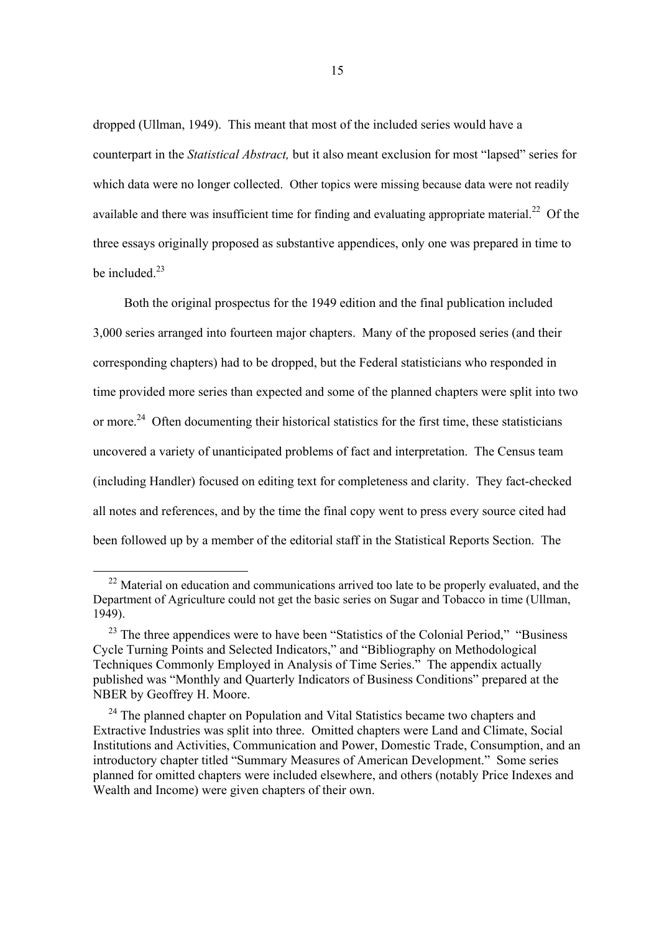dropped (Ullman, 1949). This meant that most of the included series would have a counterpart in the *Statistical Abstract,* but it also meant exclusion for most "lapsed" series for which data were no longer collected. Other topics were missing because data were not readily available and there was insufficient time for finding and evaluating appropriate material.<sup>22</sup> Of the three essays originally proposed as substantive appendices, only one was prepared in time to be included  $^{23}$ 

Both the original prospectus for the 1949 edition and the final publication included 3,000 series arranged into fourteen major chapters. Many of the proposed series (and their corresponding chapters) had to be dropped, but the Federal statisticians who responded in time provided more series than expected and some of the planned chapters were split into two or more.<sup>24</sup> Often documenting their historical statistics for the first time, these statisticians uncovered a variety of unanticipated problems of fact and interpretation. The Census team (including Handler) focused on editing text for completeness and clarity. They fact-checked all notes and references, and by the time the final copy went to press every source cited had been followed up by a member of the editorial staff in the Statistical Reports Section. The

 $22$  Material on education and communications arrived too late to be properly evaluated, and the Department of Agriculture could not get the basic series on Sugar and Tobacco in time (Ullman, 1949).

<sup>&</sup>lt;sup>23</sup> The three appendices were to have been "Statistics of the Colonial Period," "Business Cycle Turning Points and Selected Indicators," and "Bibliography on Methodological Techniques Commonly Employed in Analysis of Time Series." The appendix actually published was "Monthly and Quarterly Indicators of Business Conditions" prepared at the NBER by Geoffrey H. Moore.

<sup>&</sup>lt;sup>24</sup> The planned chapter on Population and Vital Statistics became two chapters and Extractive Industries was split into three. Omitted chapters were Land and Climate, Social Institutions and Activities, Communication and Power, Domestic Trade, Consumption, and an introductory chapter titled "Summary Measures of American Development." Some series planned for omitted chapters were included elsewhere, and others (notably Price Indexes and Wealth and Income) were given chapters of their own.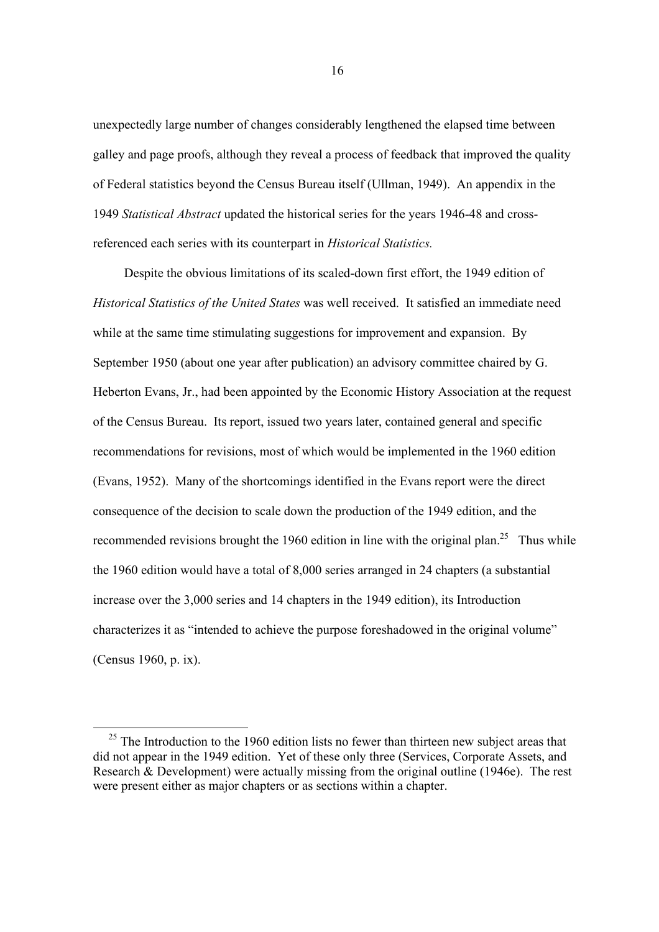unexpectedly large number of changes considerably lengthened the elapsed time between galley and page proofs, although they reveal a process of feedback that improved the quality of Federal statistics beyond the Census Bureau itself (Ullman, 1949). An appendix in the 1949 *Statistical Abstract* updated the historical series for the years 1946-48 and crossreferenced each series with its counterpart in *Historical Statistics.*

Despite the obvious limitations of its scaled-down first effort, the 1949 edition of *Historical Statistics of the United States* was well received. It satisfied an immediate need while at the same time stimulating suggestions for improvement and expansion. By September 1950 (about one year after publication) an advisory committee chaired by G. Heberton Evans, Jr., had been appointed by the Economic History Association at the request of the Census Bureau. Its report, issued two years later, contained general and specific recommendations for revisions, most of which would be implemented in the 1960 edition (Evans, 1952). Many of the shortcomings identified in the Evans report were the direct consequence of the decision to scale down the production of the 1949 edition, and the recommended revisions brought the 1960 edition in line with the original plan.<sup>25</sup> Thus while the 1960 edition would have a total of 8,000 series arranged in 24 chapters (a substantial increase over the 3,000 series and 14 chapters in the 1949 edition), its Introduction characterizes it as "intended to achieve the purpose foreshadowed in the original volume" (Census 1960, p. ix).

 $25$  The Introduction to the 1960 edition lists no fewer than thirteen new subject areas that did not appear in the 1949 edition. Yet of these only three (Services, Corporate Assets, and Research  $\&$  Development) were actually missing from the original outline (1946e). The rest were present either as major chapters or as sections within a chapter.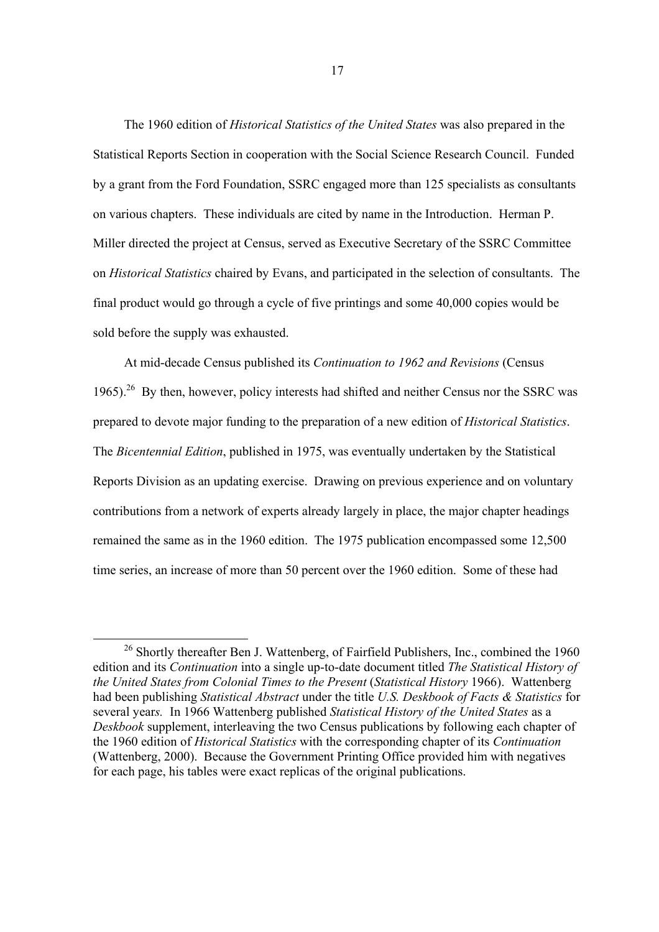The 1960 edition of *Historical Statistics of the United States* was also prepared in the Statistical Reports Section in cooperation with the Social Science Research Council. Funded by a grant from the Ford Foundation, SSRC engaged more than 125 specialists as consultants on various chapters. These individuals are cited by name in the Introduction. Herman P. Miller directed the project at Census, served as Executive Secretary of the SSRC Committee on *Historical Statistics* chaired by Evans, and participated in the selection of consultants. The final product would go through a cycle of five printings and some 40,000 copies would be sold before the supply was exhausted.

At mid-decade Census published its *Continuation to 1962 and Revisions* (Census 1965).<sup>26</sup> By then, however, policy interests had shifted and neither Census nor the SSRC was prepared to devote major funding to the preparation of a new edition of *Historical Statistics*. The *Bicentennial Edition*, published in 1975, was eventually undertaken by the Statistical Reports Division as an updating exercise. Drawing on previous experience and on voluntary contributions from a network of experts already largely in place, the major chapter headings remained the same as in the 1960 edition. The 1975 publication encompassed some 12,500 time series, an increase of more than 50 percent over the 1960 edition. Some of these had

<sup>&</sup>lt;sup>26</sup> Shortly thereafter Ben J. Wattenberg, of Fairfield Publishers, Inc., combined the 1960 edition and its *Continuation* into a single up-to-date document titled *The Statistical History of the United States from Colonial Times to the Present* (*Statistical History* 1966). Wattenberg had been publishing *Statistical Abstract* under the title *U.S. Deskbook of Facts & Statistics* for several year*s.* In 1966 Wattenberg published *Statistical History of the United States* as a *Deskbook* supplement, interleaving the two Census publications by following each chapter of the 1960 edition of *Historical Statistics* with the corresponding chapter of its *Continuation* (Wattenberg, 2000). Because the Government Printing Office provided him with negatives for each page, his tables were exact replicas of the original publications.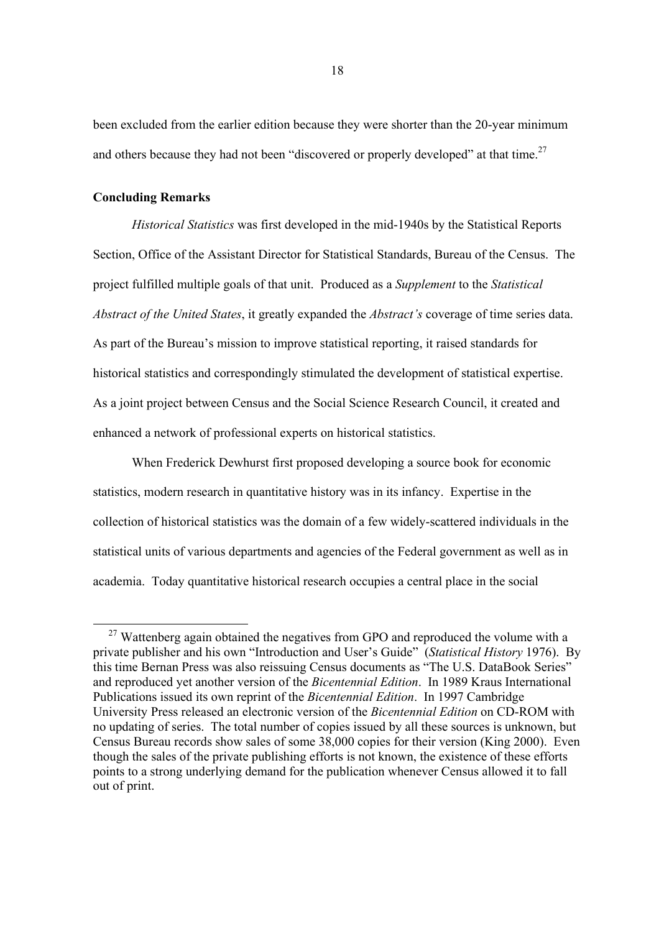been excluded from the earlier edition because they were shorter than the 20-year minimum and others because they had not been "discovered or properly developed" at that time.<sup>27</sup>

#### **Concluding Remarks**

*Historical Statistics* was first developed in the mid-1940s by the Statistical Reports Section, Office of the Assistant Director for Statistical Standards, Bureau of the Census. The project fulfilled multiple goals of that unit. Produced as a *Supplement* to the *Statistical Abstract of the United States*, it greatly expanded the *Abstract's* coverage of time series data. As part of the Bureau's mission to improve statistical reporting, it raised standards for historical statistics and correspondingly stimulated the development of statistical expertise. As a joint project between Census and the Social Science Research Council, it created and enhanced a network of professional experts on historical statistics.

When Frederick Dewhurst first proposed developing a source book for economic statistics, modern research in quantitative history was in its infancy. Expertise in the collection of historical statistics was the domain of a few widely-scattered individuals in the statistical units of various departments and agencies of the Federal government as well as in academia. Today quantitative historical research occupies a central place in the social

<sup>&</sup>lt;sup>27</sup> Wattenberg again obtained the negatives from GPO and reproduced the volume with a private publisher and his own "Introduction and User's Guide" (*Statistical History* 1976). By this time Bernan Press was also reissuing Census documents as "The U.S. DataBook Series" and reproduced yet another version of the *Bicentennial Edition*. In 1989 Kraus International Publications issued its own reprint of the *Bicentennial Edition*. In 1997 Cambridge University Press released an electronic version of the *Bicentennial Edition* on CD-ROM with no updating of series. The total number of copies issued by all these sources is unknown, but Census Bureau records show sales of some 38,000 copies for their version (King 2000). Even though the sales of the private publishing efforts is not known, the existence of these efforts points to a strong underlying demand for the publication whenever Census allowed it to fall out of print.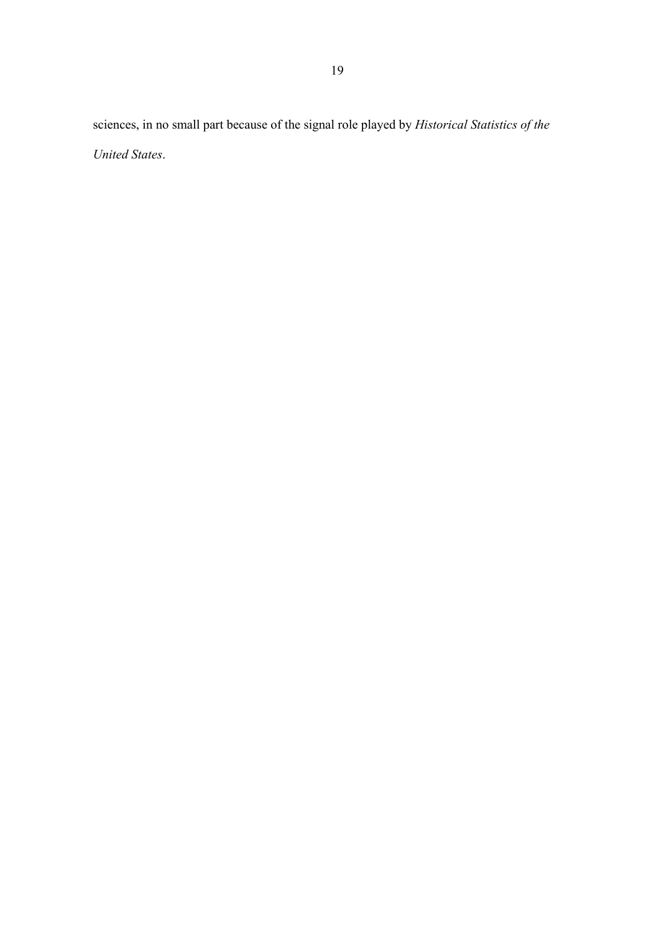sciences, in no small part because of the signal role played by *Historical Statistics of the United States*.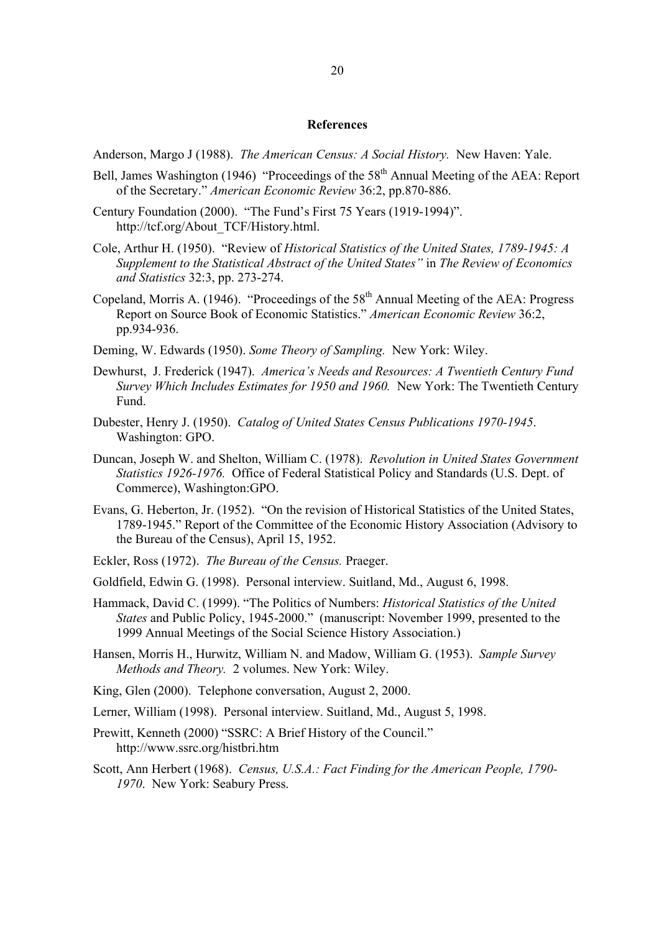#### **References**

Anderson, Margo J (1988). *The American Census: A Social History.* New Haven: Yale.

- Bell, James Washington (1946) "Proceedings of the  $58<sup>th</sup>$  Annual Meeting of the AEA: Report of the Secretary." *American Economic Review* 36:2, pp.870-886.
- Century Foundation (2000). "The Fund's First 75 Years (1919-1994)". http://tcf.org/About\_TCF/History.html.
- Cole, Arthur H. (1950). "Review of *Historical Statistics of the United States, 1789-1945: A Supplement to the Statistical Abstract of the United States"* in *The Review of Economics and Statistics* 32:3, pp. 273-274.
- Copeland, Morris A. (1946). "Proceedings of the  $58<sup>th</sup>$  Annual Meeting of the AEA: Progress Report on Source Book of Economic Statistics." *American Economic Review* 36:2, pp.934-936.
- Deming, W. Edwards (1950). *Some Theory of Sampling.* New York: Wiley.
- Dewhurst, J. Frederick (1947). *America's Needs and Resources: A Twentieth Century Fund Survey Which Includes Estimates for 1950 and 1960.* New York: The Twentieth Century Fund.
- Dubester, Henry J. (1950). *Catalog of United States Census Publications 1970-1945*. Washington: GPO.
- Duncan, Joseph W. and Shelton, William C. (1978). *Revolution in United States Government Statistics 1926-1976.* Office of Federal Statistical Policy and Standards (U.S. Dept. of Commerce), Washington:GPO.
- Evans, G. Heberton, Jr. (1952). "On the revision of Historical Statistics of the United States, 1789-1945." Report of the Committee of the Economic History Association (Advisory to the Bureau of the Census), April 15, 1952.
- Eckler, Ross (1972). *The Bureau of the Census.* Praeger.
- Goldfield, Edwin G. (1998). Personal interview. Suitland, Md., August 6, 1998.
- Hammack, David C. (1999). "The Politics of Numbers: *Historical Statistics of the United States* and Public Policy, 1945-2000." (manuscript: November 1999, presented to the 1999 Annual Meetings of the Social Science History Association.)
- Hansen, Morris H., Hurwitz, William N. and Madow, William G. (1953). *Sample Survey Methods and Theory.* 2 volumes. New York: Wiley.
- King, Glen (2000). Telephone conversation, August 2, 2000.
- Lerner, William (1998). Personal interview. Suitland, Md., August 5, 1998.
- Prewitt, Kenneth (2000) "SSRC: A Brief History of the Council." http://www.ssrc.org/histbri.htm
- Scott, Ann Herbert (1968). *Census, U.S.A.: Fact Finding for the American People, 1790- 1970*. New York: Seabury Press.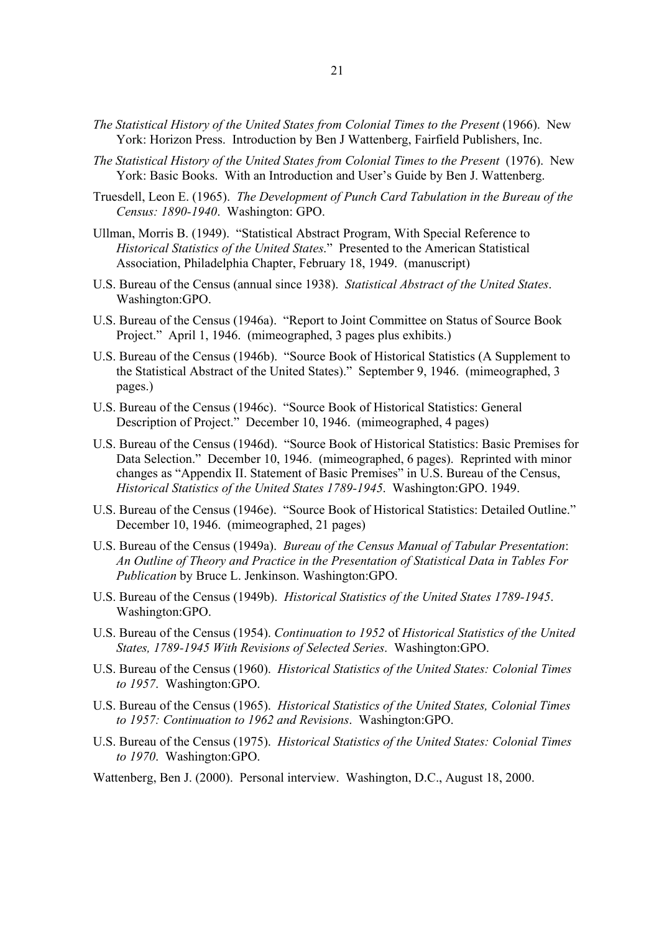- *The Statistical History of the United States from Colonial Times to the Present* (1966). New York: Horizon Press. Introduction by Ben J Wattenberg, Fairfield Publishers, Inc.
- *The Statistical History of the United States from Colonial Times to the Present* (1976). New York: Basic Books. With an Introduction and User's Guide by Ben J. Wattenberg.
- Truesdell, Leon E. (1965). *The Development of Punch Card Tabulation in the Bureau of the Census: 1890-1940*. Washington: GPO.
- Ullman, Morris B. (1949). "Statistical Abstract Program, With Special Reference to *Historical Statistics of the United States*." Presented to the American Statistical Association, Philadelphia Chapter, February 18, 1949. (manuscript)
- U.S. Bureau of the Census (annual since 1938). *Statistical Abstract of the United States*. Washington:GPO.
- U.S. Bureau of the Census (1946a). "Report to Joint Committee on Status of Source Book Project." April 1, 1946. (mimeographed, 3 pages plus exhibits.)
- U.S. Bureau of the Census (1946b). "Source Book of Historical Statistics (A Supplement to the Statistical Abstract of the United States)." September 9, 1946. (mimeographed, 3 pages.)
- U.S. Bureau of the Census (1946c). "Source Book of Historical Statistics: General Description of Project." December 10, 1946. (mimeographed, 4 pages)
- U.S. Bureau of the Census (1946d). "Source Book of Historical Statistics: Basic Premises for Data Selection." December 10, 1946. (mimeographed, 6 pages). Reprinted with minor changes as "Appendix II. Statement of Basic Premises" in U.S. Bureau of the Census, *Historical Statistics of the United States 1789-1945*. Washington:GPO. 1949.
- U.S. Bureau of the Census (1946e). "Source Book of Historical Statistics: Detailed Outline." December 10, 1946. (mimeographed, 21 pages)
- U.S. Bureau of the Census (1949a). *Bureau of the Census Manual of Tabular Presentation*: *An Outline of Theory and Practice in the Presentation of Statistical Data in Tables For Publication* by Bruce L. Jenkinson. Washington:GPO.
- U.S. Bureau of the Census (1949b). *Historical Statistics of the United States 1789-1945*. Washington:GPO.
- U.S. Bureau of the Census (1954). *Continuation to 1952* of *Historical Statistics of the United States, 1789-1945 With Revisions of Selected Series*. Washington:GPO.
- U.S. Bureau of the Census (1960). *Historical Statistics of the United States: Colonial Times to 1957*. Washington:GPO.
- U.S. Bureau of the Census (1965). *Historical Statistics of the United States, Colonial Times to 1957: Continuation to 1962 and Revisions*. Washington:GPO.
- U.S. Bureau of the Census (1975). *Historical Statistics of the United States: Colonial Times to 1970*. Washington:GPO.
- Wattenberg, Ben J. (2000). Personal interview. Washington, D.C., August 18, 2000.